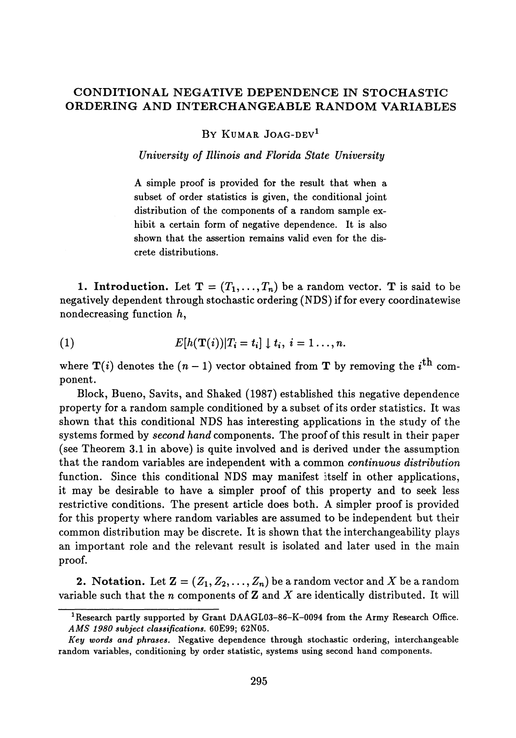## **CONDITIONAL NEGATIVE DEPENDENCE IN STOCHASTIC ORDERING AND INTERCHANGEABLE RANDOM VARIABLES**

BY KUMAR JOAG-DEV<sup>1</sup>

*University of Illinois and Florida State University*

A simple proof is provided for the result that when a subset of order statistics is given, the conditional joint distribution of the components of a random sample ex hibit a certain form of negative dependence. It is also shown that the assertion remains valid even for the dis crete distributions.

**1. Introduction.** Let  $T = (T_1, ..., T_n)$  be a random vector. T is said to be negatively dependent through stochastic ordering (NDS) if for every coordinatewise nondecreasing function  $h$ ,

(1) 
$$
E[h(\mathbf{T}(i))|T_i=t_i] \downarrow t_i, i=1...,n.
$$

where  $T(i)$  denotes the  $(n - 1)$  vector obtained from T by removing the *i*<sup>th</sup> component.

Block, Bueno, Savits, and Shaked (1987) established this negative dependence property for a random sample conditioned by a subset of its order statistics. It was shown that this conditional NDS has interesting applications in the study of the systems formed by *second hand* components. The proof of this result in their paper (see Theorem 3.1 in above) is quite involved and is derived under the assumption that the random variables are independent with a common *continuous distribution* function. Since this conditional NDS may manifest itself in other applications, it may be desirable to have a simpler proof of this property and to seek less restrictive conditions. The present article does both. A simpler proof is provided for this property where random variables are assumed to be independent but their common distribution may be discrete. It is shown that the interchangeability plays an important role and the relevant result is isolated and later used in the main proof.

**2.** Notation. Let  $\mathbf{Z} = (Z_1, Z_2, \ldots, Z_n)$  be a random vector and  $X$  be a random variable such that the *n* components of Z and *X* are identically distributed. It will

<sup>&</sup>lt;sup>1</sup> Research partly supported by Grant DAAGL03-86-K-0094 from the Army Research Office. *AMS 1980 subject classifications.* **60E99; 62N05.**

*Key words and phrases.* **Negative dependence through stochastic ordering, interchangeable random variables, conditioning by order statistic, systems using second hand components.**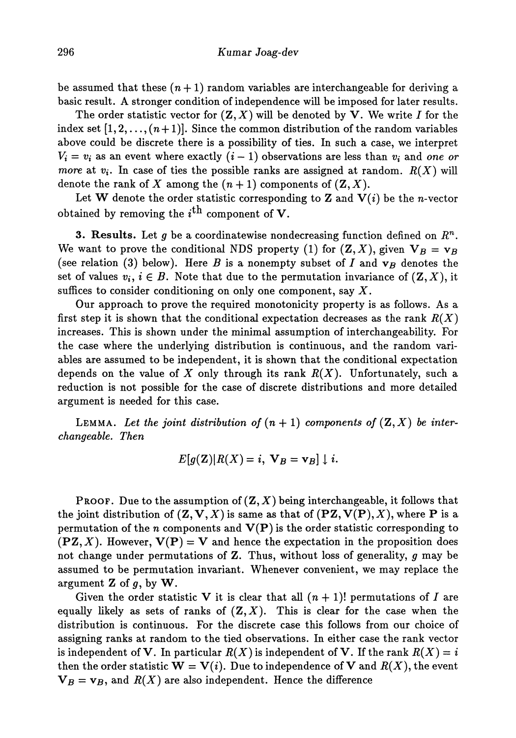be assumed that these *(n +* 1) random variables are interchangeable for deriving a basic result. A stronger condition of independence will be imposed for later results.

The order statistic vector for  $(Z, X)$  will be denoted by V. We write I for the index set  $[1,2,\ldots,(n+1)]$ . Since the common distribution of the random variables above could be discrete there is a possibility of ties. In such a case, we interpret  $V_i = v_i$  as an event where exactly  $(i-1)$  observations are less than  $v_i$  and one or *more* at  $v_i$ . In case of ties the possible ranks are assigned at random.  $R(X)$  will denote the rank of X among the  $(n + 1)$  components of  $(\mathbf{Z}, X)$ .

Let W denote the order statistic corresponding to Z and  $V(i)$  be the n-vector obtained by removing the *i™* component of **V.**

**3. Results.** Let *g* be a coordinatewise nondecreasing function defined on *R<sup>n</sup> .* We want to prove the conditional NDS property (1) for  $(\mathbf{Z}, X)$ , given  $\mathbf{V}_B = \mathbf{v}_B$ (see relation (3) below). Here *B* is a nonempty subset of *I* and  $\mathbf{v}_B$  denotes the set of values  $v_i, i \in B$ . Note that due to the permutation invariance of  $(\mathbf{Z}, X)$ , it suffices to consider conditioning on only one component, say *X.*

Our approach to prove the required monotonicity property is as follows. As a first step it is shown that the conditional expectation decreases as the rank *R(X)* increases. This is shown under the minimal assumption of interchangeability. For the case where the underlying distribution is continuous, and the random variables are assumed to be independent, it is shown that the conditional expectation depends on the value of *X* only through its rank *R(X).* Unfortunately, such a reduction is not possible for the case of discrete distributions and more detailed argument is needed for this case.

LEMMA. Let the joint distribution of  $(n + 1)$  components of  $(Z, X)$  be inter*changeable. Then*

$$
E[g(\mathbf{Z})|R(X)=i, \mathbf{V}_B=\mathbf{v}_B] \downarrow i.
$$

**PROOF.** Due to the assumption of  $(\mathbf{Z}, X)$  being interchangeable, it follows that the joint distribution of  $(\mathbf{Z}, \mathbf{V}, X)$  is same as that of  $(\mathbf{PZ}, \mathbf{V}(\mathbf{P}), X)$ , where **P** is a permutation of the *n* components and V(P) is the order statistic corresponding to  $(\textbf{PZ}, X)$ . However,  $\textbf{V}(\textbf{P}) = \textbf{V}$  and hence the expectation in the proposition does not change under permutations of Z. Thus, without loss of generality, *g* may be assumed to be permutation invariant. Whenever convenient, we may replace the argument  $Z$  of  $q$ , by  $W$ .

Given the order statistic V it is clear that all  $(n + 1)!$  permutations of I are equally likely as sets of ranks of  $(Z, X)$ . This is clear for the case when the distribution is continuous. For the discrete case this follows from our choice of assigning ranks at random to the tied observations. In either case the rank vector is independent of **V**. In particular  $R(X)$  is independent of **V**. If the rank  $R(X) = i$ then the order statistic  $\mathbf{W} = \mathbf{V}(i)$ . Due to independence of V and  $R(X)$ , the event  ${\bf V}_B={\bf v}_B$ , and  $R(X)$  are also independent. Hence the difference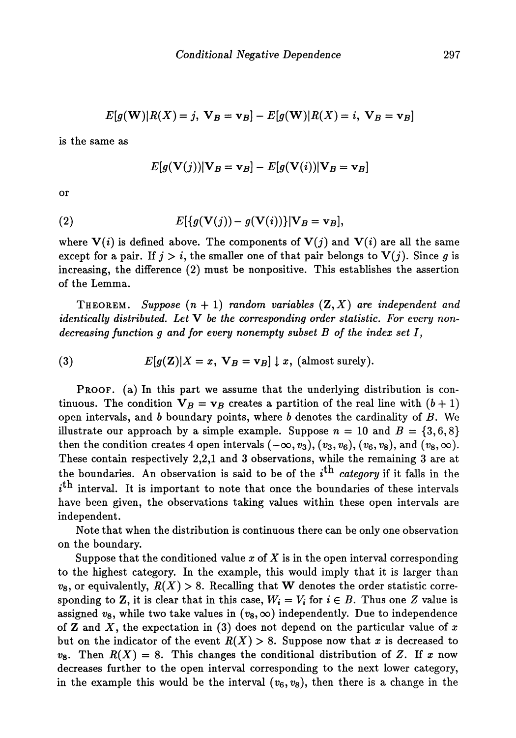$$
E[g(\mathbf{W})|R(X) = j, \mathbf{V}_B = \mathbf{v}_B] - E[g(\mathbf{W})|R(X) = i, \mathbf{V}_B = \mathbf{v}_B]
$$

is the same as

$$
E[g(\mathbf{V}(j))|\mathbf{V}_B=\mathbf{v}_B]-E[g(\mathbf{V}(i))|\mathbf{V}_B=\mathbf{v}_B]
$$

or

(2) 
$$
E[{g(\mathbf{V}(j)) - g(\mathbf{V}(i))}]|\mathbf{V}_B = \mathbf{v}_B],
$$

where  $V(i)$  is defined above. The components of  $V(j)$  and  $V(i)$  are all the same except for a pair. If  $j > i$ , the smaller one of that pair belongs to  $V(j)$ . Since g is increasing, the difference (2) must be nonpositive. This establishes the assertion of the Lemma.

THEOREM. *Suppose (n +* 1) *random variables* (Z,X) *are independent and identically distributed. Let* V *be the corresponding order statistic. For every nondecreasing function g and for every nonempty subset B of the index set I,*

(3)  $E[g(\mathbf{Z})|X=x, \mathbf{V}_B=\mathbf{v}_B] \downarrow x$ , (almost surely).

PROOF, (a) In this part we assume that the underlying distribution is con tinuous. The condition  $V_B = v_B$  creates a partition of the real line with  $(b + 1)$ open intervals, and 6 boundary points, where *b* denotes the cardinality of *B.* We illustrate our approach by a simple example. Suppose  $n = 10$  and  $B = \{3, 6, 8\}$ then the condition creates 4 open intervals  $(-\infty, v_3), (v_3, v_6), (v_6, v_8),$  and  $(v_8, \infty)$ . These contain respectively 2,2,1 and 3 observations, while the remaining 3 are at the boundaries. An observation is said to be of the  $i^{\text{th}}$  *category* if it falls in the  $i<sup>th</sup>$  interval. It is important to note that once the boundaries of these intervals have been given, the observations taking values within these open intervals are independent.

Note that when the distribution is continuous there can be only one observation on the boundary.

Suppose that the conditioned value *x* of *X* is in the open interval corresponding to the highest category. In the example, this would imply that it is larger than  $v_8$ , or equivalently,  $R(X) > 8$ . Recalling that W denotes the order statistic corresponding to Z, it is clear that in this case,  $W_i = V_i$  for  $i \in B$ . Thus one Z value is assigned  $v_8$ , while two take values in  $(v_8,\infty)$  independently. Due to independence of Z and X, the expectation in (3) does not depend on the particular value of *x* but on the indicator of the event  $R(X) > 8$ . Suppose now that x is decreased to  $v_8$ . Then  $R(X) = 8$ . This changes the conditional distribution of Z. If x now decreases further to the open interval corresponding to the next lower category, in the example this would be the interval  $(v_6, v_8)$ , then there is a change in the